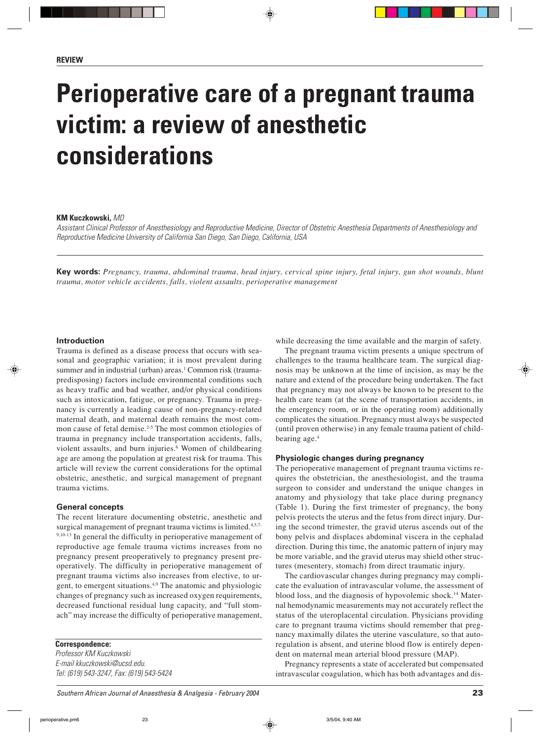# **Perioperative care of a pregnant trauma victim: a review of anesthetic considerations**

# **KM Kuczkowski,** MD

Assistant Clinical Professor of Anesthesiology and Reproductive Medicine, Director of Obstetric Anesthesia Departments of Anesthesiology and Reproductive Medicine University of California San Diego, San Diego, California, USA

**Key words:** *Pregnancy, trauma, abdominal trauma, head injury, cervical spine injury, fetal injury, gun shot wounds, blunt trauma, motor vehicle accidents, falls, violent assaults, perioperative management*

# **Introduction**

Trauma is defined as a disease process that occurs with seasonal and geographic variation; it is most prevalent during summer and in industrial (urban) areas.<sup>1</sup> Common risk (traumapredisposing) factors include environmental conditions such as heavy traffic and bad weather, and/or physical conditions such as intoxication, fatigue, or pregnancy. Trauma in pregnancy is currently a leading cause of non-pregnancy-related maternal death, and maternal death remains the most common cause of fetal demise.<sup>2-5</sup> The most common etiologies of trauma in pregnancy include transportation accidents, falls, violent assaults, and burn injuries.<sup>6</sup> Women of childbearing age are among the population at greatest risk for trauma. This article will review the current considerations for the optimal obstetric, anesthetic, and surgical management of pregnant trauma victims.

#### **General concepts**

The recent literature documenting obstetric, anesthetic and surgical management of pregnant trauma victims is limited.<sup>4,5,7-</sup> 9,10-13 In general the difficulty in perioperative management of reproductive age female trauma victims increases from no pregnancy present preoperatively to pregnancy present preoperatively. The difficulty in perioperative management of pregnant trauma victims also increases from elective, to urgent, to emergent situations.<sup>4,9</sup> The anatomic and physiologic changes of pregnancy such as increased oxygen requirements, decreased functional residual lung capacity, and "full stomach" may increase the difficulty of perioperative management,

**Correspondence:** Professor KM Kuczkowski E-mail kkuczkowski@ucsd.edu.

Tel: (619) 543-3247, Fax: (619) 543-5424

while decreasing the time available and the margin of safety.

The pregnant trauma victim presents a unique spectrum of challenges to the trauma healthcare team. The surgical diagnosis may be unknown at the time of incision, as may be the nature and extend of the procedure being undertaken. The fact that pregnancy may not always be known to be present to the health care team (at the scene of transportation accidents, in the emergency room, or in the operating room) additionally complicates the situation. Pregnancy must always be suspected (until proven otherwise) in any female trauma patient of childbearing age.4

### **Physiologic changes during pregnancy**

The perioperative management of pregnant trauma victims requires the obstetrician, the anesthesiologist, and the trauma surgeon to consider and understand the unique changes in anatomy and physiology that take place during pregnancy (Table 1). During the first trimester of pregnancy, the bony pelvis protects the uterus and the fetus from direct injury. During the second trimester, the gravid uterus ascends out of the bony pelvis and displaces abdominal viscera in the cephalad direction. During this time, the anatomic pattern of injury may be more variable, and the gravid uterus may shield other structures (mesentery, stomach) from direct traumatic injury.

The cardiovascular changes during pregnancy may complicate the evaluation of intravascular volume, the assessment of blood loss, and the diagnosis of hypovolemic shock.<sup>14</sup> Maternal hemodynamic measurements may not accurately reflect the status of the uteroplacental circulation. Physicians providing care to pregnant trauma victims should remember that pregnancy maximally dilates the uterine vasculature, so that autoregulation is absent, and uterine blood flow is entirely dependent on maternal mean arterial blood pressure (MAP).

Pregnancy represents a state of accelerated but compensated intravascular coagulation, which has both advantages and dis-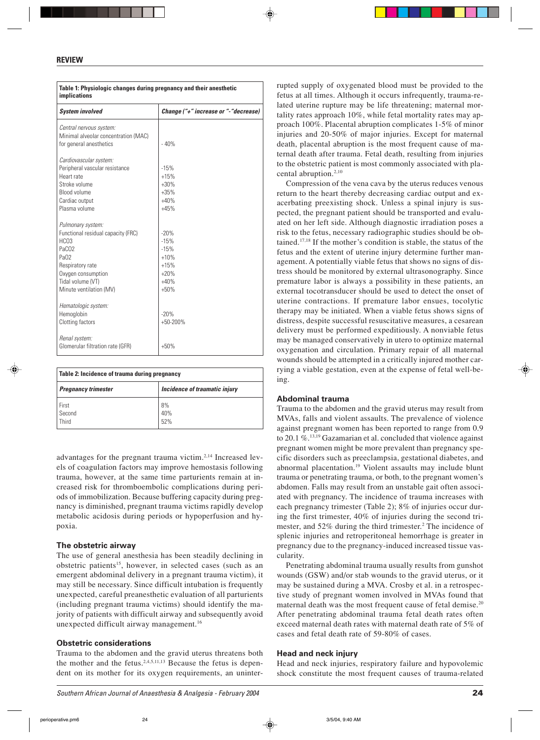| <b>System involved</b>               | Change ("+" increase or "-"decrease) |
|--------------------------------------|--------------------------------------|
| Central nervous system:              |                                      |
| Minimal alveolar concentration (MAC) |                                      |
| for general anesthetics              | $-40%$                               |
| Cardiovascular system:               |                                      |
| Peripheral vascular resistance       | $-15%$                               |
| Heart rate                           | $+15%$                               |
| Stroke volume                        | $+30%$                               |
| Blood volume                         | $+35%$                               |
| Cardiac output                       | $+40%$                               |
| Plasma volume                        | $+45%$                               |
| Pulmonary system:                    |                                      |
| Functional residual capacity (FRC)   | $-20%$                               |
| HCO <sub>3</sub>                     | $-15%$                               |
| PaCO <sub>2</sub>                    | $-15%$                               |
| Pa <sub>02</sub>                     | $+10%$                               |
| Respiratory rate                     | $+15%$                               |
| Oxygen consumption                   | $+20%$                               |
| Tidal volume (VT)                    | $+40%$                               |
| Minute ventilation (MV)              | $+50%$                               |
| Hematologic system:                  |                                      |
| Hemoglobin                           | $-20%$                               |
| Clotting factors                     | +50-200%                             |
| Renal system:                        |                                      |
| Glomerular filtration rate (GFR)     | $+50%$                               |
|                                      |                                      |

| Table 2: Incidence of trauma during pregnancy |                               |
|-----------------------------------------------|-------------------------------|
| <b>Pregnancy trimester</b>                    | Incidence of traumatic injury |
| First<br>Second<br>Third                      | 8%<br>40%<br>52%              |

advantages for the pregnant trauma victim.2,14 Increased levels of coagulation factors may improve hemostasis following trauma, however, at the same time parturients remain at increased risk for thromboembolic complications during periods of immobilization. Because buffering capacity during pregnancy is diminished, pregnant trauma victims rapidly develop metabolic acidosis during periods or hypoperfusion and hypoxia.

# **The obstetric airway**

The use of general anesthesia has been steadily declining in obstetric patients<sup>15</sup>, however, in selected cases (such as an emergent abdominal delivery in a pregnant trauma victim), it may still be necessary. Since difficult intubation is frequently unexpected, careful preanesthetic evaluation of all parturients (including pregnant trauma victims) should identify the majority of patients with difficult airway and subsequently avoid unexpected difficult airway management.<sup>16</sup>

# **Obstetric considerations**

Trauma to the abdomen and the gravid uterus threatens both the mother and the fetus.<sup>2,4,5,11,13</sup> Because the fetus is dependent on its mother for its oxygen requirements, an uninterrupted supply of oxygenated blood must be provided to the fetus at all times. Although it occurs infrequently, trauma-related uterine rupture may be life threatening; maternal mortality rates approach 10%, while fetal mortality rates may approach 100%. Placental abruption complicates 1-5% of minor injuries and 20-50% of major injuries. Except for maternal death, placental abruption is the most frequent cause of maternal death after trauma. Fetal death, resulting from injuries to the obstetric patient is most commonly associated with placental abruption.<sup>2,10</sup>

Compression of the vena cava by the uterus reduces venous return to the heart thereby decreasing cardiac output and exacerbating preexisting shock. Unless a spinal injury is suspected, the pregnant patient should be transported and evaluated on her left side. Although diagnostic irradiation poses a risk to the fetus, necessary radiographic studies should be obtained.17,18 If the mother's condition is stable, the status of the fetus and the extent of uterine injury determine further management. A potentially viable fetus that shows no signs of distress should be monitored by external ultrasonography. Since premature labor is always a possibility in these patients, an external tocotransducer should be used to detect the onset of uterine contractions. If premature labor ensues, tocolytic therapy may be initiated. When a viable fetus shows signs of distress, despite successful resuscitative measures, a cesarean delivery must be performed expeditiously. A nonviable fetus may be managed conservatively in utero to optimize maternal oxygenation and circulation. Primary repair of all maternal wounds should be attempted in a critically injured mother carrying a viable gestation, even at the expense of fetal well-being.

# **Abdominal trauma**

Trauma to the abdomen and the gravid uterus may result from MVAs, falls and violent assaults. The prevalence of violence against pregnant women has been reported to range from 0.9 to 20.1 %.13,19 Gazamarian et al. concluded that violence against pregnant women might be more prevalent than pregnancy specific disorders such as preeclampsia, gestational diabetes, and abnormal placentation.19 Violent assaults may include blunt trauma or penetrating trauma, or both, to the pregnant women's abdomen. Falls may result from an unstable gait often associated with pregnancy. The incidence of trauma increases with each pregnancy trimester (Table 2); 8% of injuries occur during the first trimester, 40% of injuries during the second trimester, and 52% during the third trimester.<sup>2</sup> The incidence of splenic injuries and retroperitoneal hemorrhage is greater in pregnancy due to the pregnancy-induced increased tissue vascularity.

Penetrating abdominal trauma usually results from gunshot wounds (GSW) and/or stab wounds to the gravid uterus, or it may be sustained during a MVA. Crosby et al. in a retrospective study of pregnant women involved in MVAs found that maternal death was the most frequent cause of fetal demise.<sup>20</sup> After penetrating abdominal trauma fetal death rates often exceed maternal death rates with maternal death rate of 5% of cases and fetal death rate of 59-80% of cases.

# **Head and neck injury**

Head and neck injuries, respiratory failure and hypovolemic shock constitute the most frequent causes of trauma-related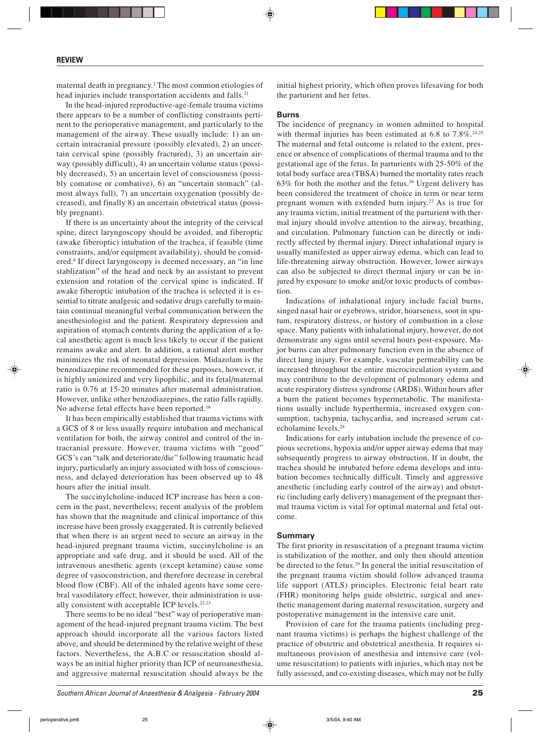maternal death in pregnancy.2 The most common etiologies of head injuries include transportation accidents and falls.<sup>21</sup>

In the head-injured reproductive-age-female trauma victims there appears to be a number of conflicting constraints pertinent to the perioperative management, and particularly to the management of the airway. These usually include: 1) an uncertain intracranial pressure (possibly elevated), 2) an uncertain cervical spine (possibly fractured), 3) an uncertain airway (possibly difficult), 4) an uncertain volume status (possibly decreased), 5) an uncertain level of consciousness (possibly comatose or combative), 6) an "uncertain stomach" (almost always full), 7) an uncertain oxygenation (possibly decreased), and finally 8) an uncertain obstetrical status (possibly pregnant).

If there is an uncertainty about the integrity of the cervical spine, direct laryngoscopy should be avoided, and fiberoptic (awake fiberoptic) intubation of the trachea, if feasible (time constraints, and/or equipment availability), should be considered.8 If direct laryngoscopy is deemed necessary, an "in line stablization" of the head and neck by an assistant to prevent extension and rotation of the cervical spine is indicated. If awake fiberoptic intubation of the trachea is selected it is essential to titrate analgesic and sedative drugs carefully to maintain continual meaningful verbal communication between the anesthesiologist and the patient. Respiratory depression and aspiration of stomach contents during the application of a local anesthetic agent is much less likely to occur if the patient remains awake and alert. In addition, a rational alert mother minimizes the risk of neonatal depression. Midazolam is the benzodiazepine recommended for these purposes, however, it is highly unionized and very lipophilic, and its fetal/maternal ratio is 0.76 at 15-20 minutes after maternal administration. However, unlike other benzodiazepines, the ratio falls rapidly. No adverse fetal effects have been reported.16

It has been empirically established that trauma victims with a GCS of 8 or less usually require intubation and mechanical ventilation for both, the airway control and control of the intracranial pressure. However, trauma victims with "good" GCS's can "talk and deteriorate/die" following traumatic head injury, particularly an injury associated with loss of consciousness, and delayed deterioration has been observed up to 48 hours after the initial insult.

The succinylcholine-induced ICP increase has been a concern in the past, nevertheless; recent analysis of the problem has shown that the magnitude and clinical importance of this increase have been grossly exaggerated. It is currently believed that when there is an urgent need to secure an airway in the head-injured pregnant trauma victim, succinylcholine is an appropriate and safe drug, and it should be used. All of the intravenous anesthetic agents (except ketamine) cause some degree of vasoconstriction, and therefore decrease in cerebral blood flow (CBF). All of the inhaled agents have some cerebral vasodilatory effect; however, their administration is usually consistent with acceptable ICP levels.<sup>22,23</sup>

There seems to be no ideal "best" way of perioperative management of the head-injured pregnant trauma victim. The best approach should incorporate all the various factors listed above, and should be determined by the relative weight of these factors. Nevertheless, the A.B.C or resuscitation should always be an initial higher priority than ICP of neuroanesthesia, and aggressive maternal resuscitation should always be the

initial highest priority, which often proves lifesaving for both the parturient and her fetus.

## **Burns**

The incidence of pregnancy in women admitted to hospital with thermal injuries has been estimated at 6.8 to  $7.8\%$ .<sup>24,25</sup> The maternal and fetal outcome is related to the extent, presence or absence of complications of thermal trauma and to the gestational age of the fetus. In parturients with 25-50% of the total body surface area (TBSA) burned the mortality rates reach 63% for both the mother and the fetus.<sup>26</sup> Urgent delivery has been considered the treatment of choice in term or near term pregnant women with extended burn injury.<sup>27</sup> As is true for any trauma victim, initial treatment of the parturient with thermal injury should involve attention to the airway, breathing, and circulation. Pulmonary function can be directly or indirectly affected by thermal injury. Direct inhalational injury is usually manifested as upper airway edema, which can lead to life-threatening airway obstruction. However, lower airways can also be subjected to direct thermal injury or can be injured by exposure to smoke and/or toxic products of combustion.

Indications of inhalational injury include facial burns, singed nasal hair or eyebrows, stridor, hoarseness, soot in sputum, respiratory distress, or history of combustion in a close space. Many patients with inhalational injury, however, do not demonstrate any signs until several hours post-exposure. Major burns can alter pulmonary function even in the absence of direct lung injury. For example, vascular permeability can be increased throughout the entire microcirculation system and may contribute to the development of pulmonary edema and acute respiratory distress syndrome (ARDS). Within hours after a burn the patient becomes hypermetabolic. The manifestations usually include hyperthermia, increased oxygen consumption, tachypnia, tachycardia, and increased serum catecholamine levels.28

Indications for early intubation include the presence of copious secretions, hypoxia and/or upper airway edema that may subsequently progress to airway obstruction. If in doubt, the trachea should be intubated before edema develops and intubation becomes technically difficult. Timely and aggressive anesthetic (including early control of the airway) and obstetric (including early delivery) management of the pregnant thermal trauma victim is vital for optimal maternal and fetal outcome.

## **Summary**

The first priority in resuscitation of a pregnant trauma victim is stabilization of the mother, and only then should attention be directed to the fetus.<sup>29</sup> In general the initial resuscitation of the pregnant trauma victim should follow advanced trauma life support (ATLS) principles. Electronic fetal heart rate (FHR) monitoring helps guide obstetric, surgical and anesthetic management during maternal resuscitation, surgery and postoperative management in the intensive care unit.

Provision of care for the trauma patients (including pregnant trauma victims) is perhaps the highest challenge of the practice of obstetric and obstetrical anesthesia. It requires simultaneous provision of anesthesia and intensive care (volume resuscitation) to patients with injuries, which may not be fully assessed, and co-existing diseases, which may not be fully